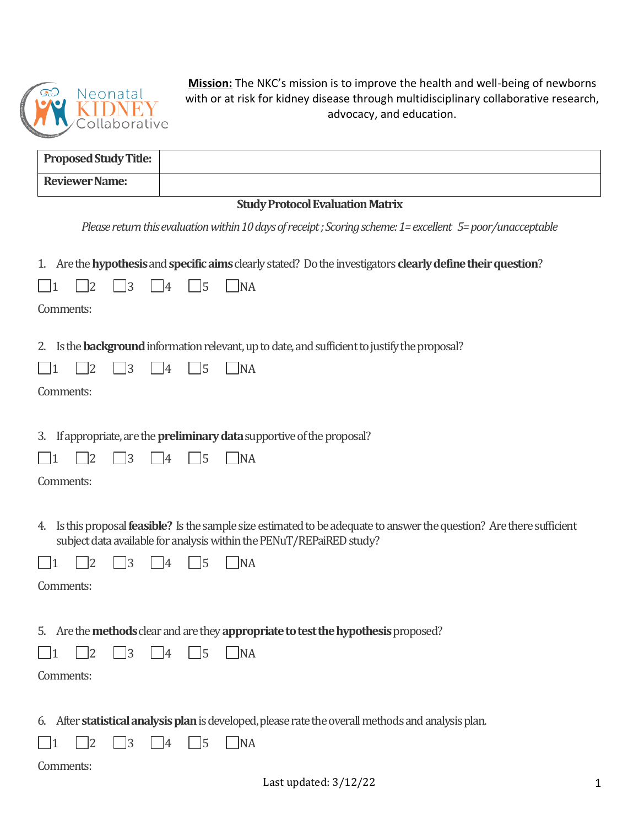

**Mission:** The NKC's mission is to improve the health and well-being of newborns with or at risk for kidney disease through multidisciplinary collaborative research, advocacy, and education.

| <b>Reviewer Name:</b><br><b>Study Protocol Evaluation Matrix</b><br>Please return this evaluation within 10 days of receipt; Scoring scheme: 1= excellent 5= poor/unacceptable<br>1. Are the hypothesis and specific aims clearly stated? Do the investigators clearly define their question?<br> 3<br>$\sqrt{5}$<br>12<br><b>NA</b><br> 4<br>Comments:<br>Is the <b>background</b> information relevant, up to date, and sufficient to justify the proposal?<br>2. |  |
|---------------------------------------------------------------------------------------------------------------------------------------------------------------------------------------------------------------------------------------------------------------------------------------------------------------------------------------------------------------------------------------------------------------------------------------------------------------------|--|
|                                                                                                                                                                                                                                                                                                                                                                                                                                                                     |  |
|                                                                                                                                                                                                                                                                                                                                                                                                                                                                     |  |
|                                                                                                                                                                                                                                                                                                                                                                                                                                                                     |  |
|                                                                                                                                                                                                                                                                                                                                                                                                                                                                     |  |
| $\sqrt{3}$<br>$\overline{5}$<br> 2 <br> 4<br><b>NA</b><br>$\vert$ 1<br>Comments:                                                                                                                                                                                                                                                                                                                                                                                    |  |
| If appropriate, are the <b>preliminary data</b> supportive of the proposal?<br>3.                                                                                                                                                                                                                                                                                                                                                                                   |  |
| 3<br>12<br>$\sqrt{5}$<br> 4<br><b>NA</b><br>$\vert$ 1                                                                                                                                                                                                                                                                                                                                                                                                               |  |
| Comments:                                                                                                                                                                                                                                                                                                                                                                                                                                                           |  |
| Is this proposal <b>feasible?</b> Is the sample size estimated to be adequate to answer the question? Are there sufficient<br>4.<br>subject data available for analysis within the PENuT/REPaiRED study?<br>13<br>15<br> NA<br>14<br>Comments:                                                                                                                                                                                                                      |  |
| 5. Are the <b>methods</b> clear and are they appropriate to test the hypothesis proposed?<br>$\vert 3 \vert$<br>15<br> 2 <br> NA<br> 4<br>Comments:                                                                                                                                                                                                                                                                                                                 |  |
| 6. After statistical analysis plan is developed, please rate the overall methods and analysis plan.<br> 3<br>$\overline{5}$<br> NA<br>12<br>14<br>Comments:<br>Last updated: $3/12/22$                                                                                                                                                                                                                                                                              |  |